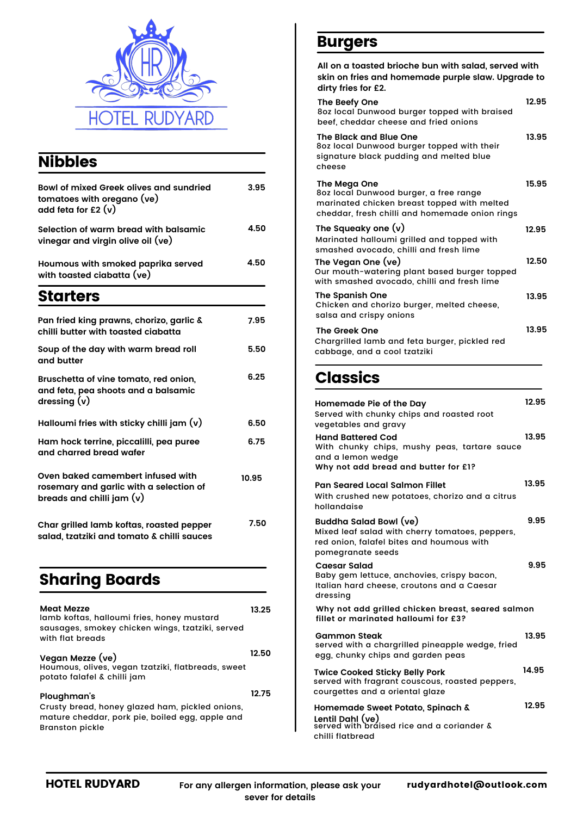

| <b>Nibbles</b>                                                                                                                              |       |
|---------------------------------------------------------------------------------------------------------------------------------------------|-------|
| <b>Bowl of mixed Greek olives and sundried</b><br>tomatoes with oregano (ve)<br>add feta for £2 $(v)$                                       | 3.95  |
| Selection of warm bread with balsamic<br>vinegar and virgin olive oil (ve)                                                                  | 4.50  |
| Houmous with smoked paprika served<br>with toasted ciabatta (ve)                                                                            | 4.50  |
| <b>Starters</b>                                                                                                                             |       |
| Pan fried king prawns, chorizo, garlic &<br>chilli butter with toasted ciabatta                                                             | 7.95  |
| Soup of the day with warm bread roll<br>and butter                                                                                          | 5.50  |
| Bruschetta of vine tomato, red onion,<br>and feta, pea shoots and a balsamic<br>dressing (v)                                                | 6.25  |
| Halloumi fries with sticky chilli jam $(v)$                                                                                                 | 6.50  |
| Ham hock terrine, piccalilli, pea puree<br>and charred bread wafer                                                                          | 6.75  |
| Oven baked camembert infused with<br>rosemary and garlic with a selection of<br>breads and chilli jam $(v)$                                 | 10.95 |
| Char grilled lamb koftas, roasted pepper<br>salad, tzatziki and tomato & chilli sauces                                                      | 7.50  |
| Sharina Boards                                                                                                                              |       |
| <b>Meat Mezze</b><br>lamb koftas, halloumi fries, honey mustard<br>sausages, smokey chicken wings, tzatziki, served<br>with flat breads     | 13.25 |
| Vegan Mezze (ve)<br>Houmous, olives, vegan tzatziki, flatbreads, sweet<br>potato falafel & chilli jam                                       | 12.50 |
| Ploughman's<br>Crusty bread, honey glazed ham, pickled onions,<br>mature cheddar, pork pie, boiled egg, apple and<br><b>Branston pickle</b> | 12.75 |

#### Burgers

**The Mega One** 8oz local Dunwood burger, a free range marinated chicken breast topped with melted cheddar, fresh chilli and homemade onion rings **15.95 The Vegan One (ve)** Our mouth-watering plant based burger topped with smashed avocado, chilli and fresh lime **12.50 The Squeaky one (v) 12.95** Marinated halloumi grilled and topped with smashed avocado, chilli and fresh lime **The Black and Blue One** 8oz local Dunwood burger topped with their signature black pudding and melted blue cheese **13.95 The Greek One 13.95 The Spanish One 13.95** Chicken and chorizo burger, melted cheese, salsa and crispy onions **The Beefy One** 8oz local Dunwood burger topped with braised beef, cheddar cheese and fried onions **12.95 All on a toasted brioche bun with salad, served with skin on fries and homemade purple slaw. Upgrade to dirty fries for £2.**

Chargrilled lamb and feta burger, pickled red cabbage, and a cool tzatziki

## **Classics**

| Homemade Pie of the Day<br>Served with chunky chips and roasted root<br>vegetables and gravy                                                | 12.95 |
|---------------------------------------------------------------------------------------------------------------------------------------------|-------|
| <b>Hand Battered Cod</b><br>With chunky chips, mushy peas, tartare sauce<br>and a lemon wedge<br>Why not add bread and butter for £1?       | 13.95 |
| <b>Pan Seared Local Salmon Fillet</b><br>With crushed new potatoes, chorizo and a citrus<br>hollandaise                                     | 13.95 |
| Buddha Salad Bowl (ve)<br>Mixed leaf salad with cherry tomatoes, peppers,<br>red onion, falafel bites and houmous with<br>pomegranate seeds | 9.95  |
| <b>Caesar Salad</b><br>Baby gem lettuce, anchovies, crispy bacon,<br>Italian hard cheese, croutons and a Caesar<br>dressing                 | 9.95  |
| Why not add grilled chicken breast, seared salmon<br>fillet or marinated halloumi for £3?                                                   |       |
| <b>Gammon Steak</b><br>served with a chargrilled pineapple wedge, fried<br>egg, chunky chips and garden peas                                | 13.95 |
| <b>Twice Cooked Sticky Belly Pork</b><br>served with fragrant couscous, roasted peppers,<br>courgettes and a oriental glaze                 | 14.95 |
| Homemade Sweet Potato, Spinach &<br><b>Lentil Dahl (ve)</b><br>served with braised rice and a coriander &<br>chilli flatbread               | 12.95 |